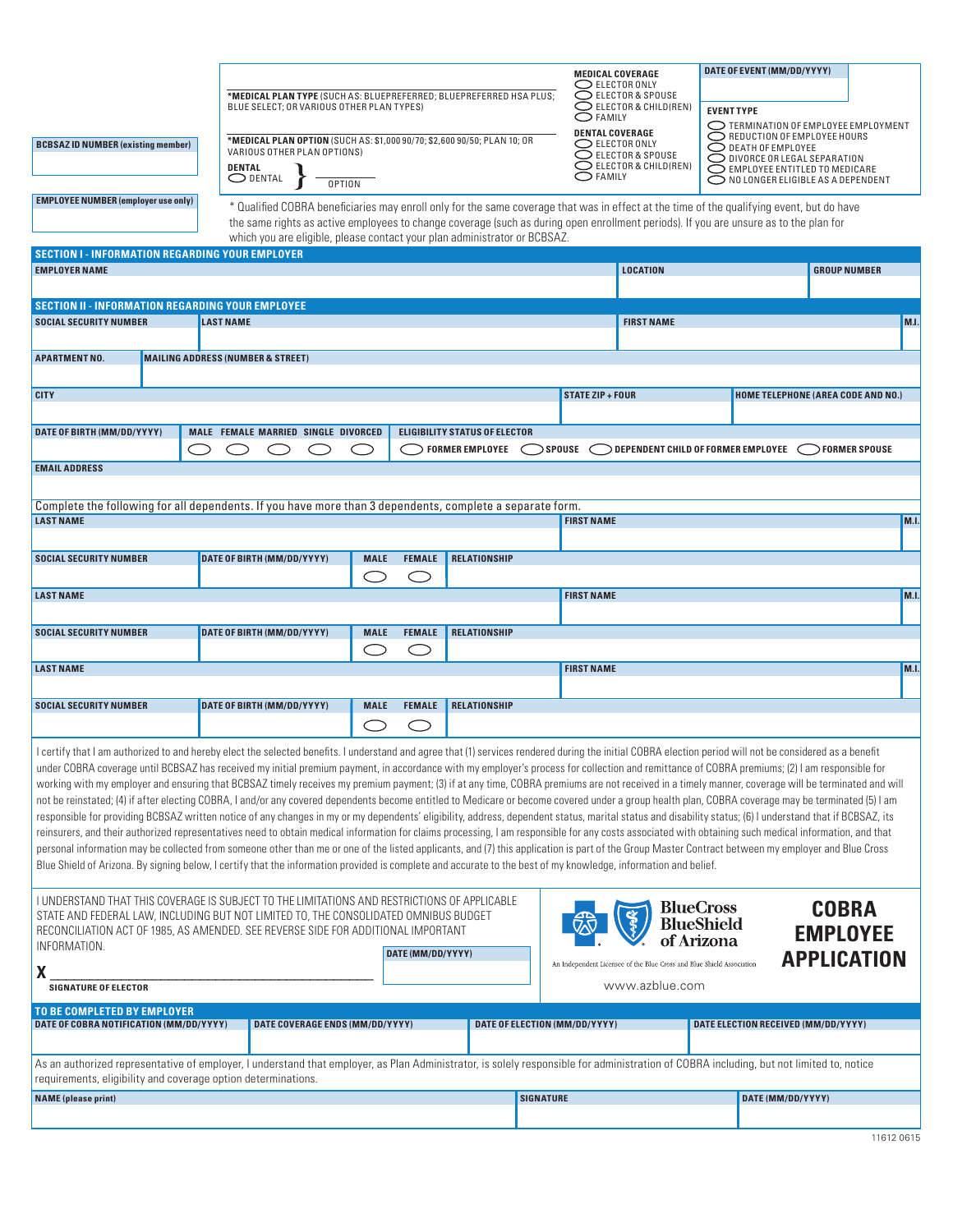| <b>BCBSAZID NUMBER (existing member)</b><br><b>EMPLOYEE NUMBER (employer use only)</b>                                                                                                                                                                                                                                                                                                                                                                                                                                                                                                                                                                                                                                                                                                                                                                                                                                                                                                                                                                                                                                                                                                                                                                                                                                                                                                                                                                                                                                                                                                                                |  | *MEDICAL PLAN TYPE (SUCH AS: BLUEPREFERRED; BLUEPREFERRED HSA PLUS;<br>BLUE SELECT; OR VARIOUS OTHER PLAN TYPES)<br>*MEDICAL PLAN OPTION (SUCH AS: \$1,000 90/70; \$2,600 90/50; PLAN 10; OR<br>VARIOUS OTHER PLAN OPTIONS)<br>DENTAL<br>$\bigcirc$ dental<br><b>OPTION</b> |                                 |               |                     |                           | <b>MEDICAL COVERAGE</b><br>$\bigcirc$ elector only<br>$\bigcirc$ elector & spouse<br>$\bigcirc$ elector & child(ren)<br>O FAMILY<br><b>DENTAL COVERAGE</b><br>$\bigcirc$ ELECTOR ONLY<br>$\bigcirc$ elector & spouse<br>$\bigcirc$ ELECTOR & CHILD(REN)<br>$\bigcirc$ family<br>* Qualified COBRA beneficiaries may enroll only for the same coverage that was in effect at the time of the qualifying event, but do have<br>the same rights as active employees to change coverage (such as during open enrollment periods). If you are unsure as to the plan for | <b>EVENT TYPE</b>                                   | DATE OF EVENT (MM/DD/YYYY)<br>TERMINATION OF EMPLOYEE EMPLOYMENT<br>REDUCTION OF EMPLOYEE HOURS<br>$\bigcirc$ death of employee<br>O DIVORCE OR LEGAL SEPARATION<br>EMPLOYEE ENTITLED TO MEDICARE<br>NO LONGER ELIGIBLE AS A DEPENDENT |  |
|-----------------------------------------------------------------------------------------------------------------------------------------------------------------------------------------------------------------------------------------------------------------------------------------------------------------------------------------------------------------------------------------------------------------------------------------------------------------------------------------------------------------------------------------------------------------------------------------------------------------------------------------------------------------------------------------------------------------------------------------------------------------------------------------------------------------------------------------------------------------------------------------------------------------------------------------------------------------------------------------------------------------------------------------------------------------------------------------------------------------------------------------------------------------------------------------------------------------------------------------------------------------------------------------------------------------------------------------------------------------------------------------------------------------------------------------------------------------------------------------------------------------------------------------------------------------------------------------------------------------------|--|-----------------------------------------------------------------------------------------------------------------------------------------------------------------------------------------------------------------------------------------------------------------------------|---------------------------------|---------------|---------------------|---------------------------|--------------------------------------------------------------------------------------------------------------------------------------------------------------------------------------------------------------------------------------------------------------------------------------------------------------------------------------------------------------------------------------------------------------------------------------------------------------------------------------------------------------------------------------------------------------------|-----------------------------------------------------|----------------------------------------------------------------------------------------------------------------------------------------------------------------------------------------------------------------------------------------|--|
| which you are eligible, please contact your plan administrator or BCBSAZ.<br><b>SECTION I - INFORMATION REGARDING YOUR EMPLOYER</b>                                                                                                                                                                                                                                                                                                                                                                                                                                                                                                                                                                                                                                                                                                                                                                                                                                                                                                                                                                                                                                                                                                                                                                                                                                                                                                                                                                                                                                                                                   |  |                                                                                                                                                                                                                                                                             |                                 |               |                     |                           |                                                                                                                                                                                                                                                                                                                                                                                                                                                                                                                                                                    |                                                     |                                                                                                                                                                                                                                        |  |
| <b>EMPLOYER NAME</b>                                                                                                                                                                                                                                                                                                                                                                                                                                                                                                                                                                                                                                                                                                                                                                                                                                                                                                                                                                                                                                                                                                                                                                                                                                                                                                                                                                                                                                                                                                                                                                                                  |  |                                                                                                                                                                                                                                                                             |                                 |               |                     |                           | <b>LOCATION</b>                                                                                                                                                                                                                                                                                                                                                                                                                                                                                                                                                    |                                                     | <b>GROUP NUMBER</b>                                                                                                                                                                                                                    |  |
| <b>SECTION II - INFORMATION REGARDING YOUR EMPLOYEE</b>                                                                                                                                                                                                                                                                                                                                                                                                                                                                                                                                                                                                                                                                                                                                                                                                                                                                                                                                                                                                                                                                                                                                                                                                                                                                                                                                                                                                                                                                                                                                                               |  |                                                                                                                                                                                                                                                                             |                                 |               |                     |                           |                                                                                                                                                                                                                                                                                                                                                                                                                                                                                                                                                                    |                                                     |                                                                                                                                                                                                                                        |  |
| <b>SOCIAL SECURITY NUMBER</b>                                                                                                                                                                                                                                                                                                                                                                                                                                                                                                                                                                                                                                                                                                                                                                                                                                                                                                                                                                                                                                                                                                                                                                                                                                                                                                                                                                                                                                                                                                                                                                                         |  | <b>LAST NAME</b>                                                                                                                                                                                                                                                            |                                 |               |                     |                           | <b>FIRST NAME</b>                                                                                                                                                                                                                                                                                                                                                                                                                                                                                                                                                  |                                                     | M.I.                                                                                                                                                                                                                                   |  |
| <b>APARTMENT NO.</b>                                                                                                                                                                                                                                                                                                                                                                                                                                                                                                                                                                                                                                                                                                                                                                                                                                                                                                                                                                                                                                                                                                                                                                                                                                                                                                                                                                                                                                                                                                                                                                                                  |  | <b>MAILING ADDRESS (NUMBER &amp; STREET)</b>                                                                                                                                                                                                                                |                                 |               |                     |                           |                                                                                                                                                                                                                                                                                                                                                                                                                                                                                                                                                                    |                                                     |                                                                                                                                                                                                                                        |  |
|                                                                                                                                                                                                                                                                                                                                                                                                                                                                                                                                                                                                                                                                                                                                                                                                                                                                                                                                                                                                                                                                                                                                                                                                                                                                                                                                                                                                                                                                                                                                                                                                                       |  |                                                                                                                                                                                                                                                                             |                                 |               |                     |                           |                                                                                                                                                                                                                                                                                                                                                                                                                                                                                                                                                                    |                                                     |                                                                                                                                                                                                                                        |  |
| <b>CITY</b>                                                                                                                                                                                                                                                                                                                                                                                                                                                                                                                                                                                                                                                                                                                                                                                                                                                                                                                                                                                                                                                                                                                                                                                                                                                                                                                                                                                                                                                                                                                                                                                                           |  |                                                                                                                                                                                                                                                                             |                                 |               |                     |                           | <b>STATE ZIP + FOUR</b>                                                                                                                                                                                                                                                                                                                                                                                                                                                                                                                                            |                                                     | <b>HOME TELEPHONE (AREA CODE AND NO.)</b>                                                                                                                                                                                              |  |
| MALE FEMALE MARRIED SINGLE DIVORCED<br>DATE OF BIRTH (MM/DD/YYYY)<br><b>ELIGIBILITY STATUS OF ELECTOR</b>                                                                                                                                                                                                                                                                                                                                                                                                                                                                                                                                                                                                                                                                                                                                                                                                                                                                                                                                                                                                                                                                                                                                                                                                                                                                                                                                                                                                                                                                                                             |  |                                                                                                                                                                                                                                                                             |                                 |               |                     |                           |                                                                                                                                                                                                                                                                                                                                                                                                                                                                                                                                                                    |                                                     |                                                                                                                                                                                                                                        |  |
| $>$ FORMER EMPLOYEE $\bigcirc$ spouse<br>DEPENDENT CHILD OF FORMER EMPLOYEE<br><b>FORMER SPOUSE</b>                                                                                                                                                                                                                                                                                                                                                                                                                                                                                                                                                                                                                                                                                                                                                                                                                                                                                                                                                                                                                                                                                                                                                                                                                                                                                                                                                                                                                                                                                                                   |  |                                                                                                                                                                                                                                                                             |                                 |               |                     |                           |                                                                                                                                                                                                                                                                                                                                                                                                                                                                                                                                                                    |                                                     |                                                                                                                                                                                                                                        |  |
| <b>EMAIL ADDRESS</b>                                                                                                                                                                                                                                                                                                                                                                                                                                                                                                                                                                                                                                                                                                                                                                                                                                                                                                                                                                                                                                                                                                                                                                                                                                                                                                                                                                                                                                                                                                                                                                                                  |  |                                                                                                                                                                                                                                                                             |                                 |               |                     |                           |                                                                                                                                                                                                                                                                                                                                                                                                                                                                                                                                                                    |                                                     |                                                                                                                                                                                                                                        |  |
| Complete the following for all dependents. If you have more than 3 dependents, complete a separate form.                                                                                                                                                                                                                                                                                                                                                                                                                                                                                                                                                                                                                                                                                                                                                                                                                                                                                                                                                                                                                                                                                                                                                                                                                                                                                                                                                                                                                                                                                                              |  |                                                                                                                                                                                                                                                                             |                                 |               |                     |                           |                                                                                                                                                                                                                                                                                                                                                                                                                                                                                                                                                                    |                                                     |                                                                                                                                                                                                                                        |  |
| <b>LAST NAME</b>                                                                                                                                                                                                                                                                                                                                                                                                                                                                                                                                                                                                                                                                                                                                                                                                                                                                                                                                                                                                                                                                                                                                                                                                                                                                                                                                                                                                                                                                                                                                                                                                      |  |                                                                                                                                                                                                                                                                             |                                 |               |                     | <b>FIRST NAME</b><br>M.I. |                                                                                                                                                                                                                                                                                                                                                                                                                                                                                                                                                                    |                                                     |                                                                                                                                                                                                                                        |  |
| <b>SOCIAL SECURITY NUMBER</b>                                                                                                                                                                                                                                                                                                                                                                                                                                                                                                                                                                                                                                                                                                                                                                                                                                                                                                                                                                                                                                                                                                                                                                                                                                                                                                                                                                                                                                                                                                                                                                                         |  | DATE OF BIRTH (MM/DD/YYYY)                                                                                                                                                                                                                                                  | <b>MALE</b>                     | <b>FEMALE</b> | RELATIONSHIP        |                           |                                                                                                                                                                                                                                                                                                                                                                                                                                                                                                                                                                    |                                                     |                                                                                                                                                                                                                                        |  |
|                                                                                                                                                                                                                                                                                                                                                                                                                                                                                                                                                                                                                                                                                                                                                                                                                                                                                                                                                                                                                                                                                                                                                                                                                                                                                                                                                                                                                                                                                                                                                                                                                       |  |                                                                                                                                                                                                                                                                             |                                 |               |                     |                           |                                                                                                                                                                                                                                                                                                                                                                                                                                                                                                                                                                    |                                                     |                                                                                                                                                                                                                                        |  |
| <b>LAST NAME</b>                                                                                                                                                                                                                                                                                                                                                                                                                                                                                                                                                                                                                                                                                                                                                                                                                                                                                                                                                                                                                                                                                                                                                                                                                                                                                                                                                                                                                                                                                                                                                                                                      |  |                                                                                                                                                                                                                                                                             |                                 |               |                     |                           | <b>FIRST NAME</b>                                                                                                                                                                                                                                                                                                                                                                                                                                                                                                                                                  |                                                     | M.I.                                                                                                                                                                                                                                   |  |
| <b>SOCIAL SECURITY NUMBER</b>                                                                                                                                                                                                                                                                                                                                                                                                                                                                                                                                                                                                                                                                                                                                                                                                                                                                                                                                                                                                                                                                                                                                                                                                                                                                                                                                                                                                                                                                                                                                                                                         |  | DATE OF BIRTH (MM/DD/YYYY)                                                                                                                                                                                                                                                  | <b>MALE</b>                     | <b>FEMALE</b> | <b>RELATIONSHIP</b> |                           |                                                                                                                                                                                                                                                                                                                                                                                                                                                                                                                                                                    |                                                     |                                                                                                                                                                                                                                        |  |
|                                                                                                                                                                                                                                                                                                                                                                                                                                                                                                                                                                                                                                                                                                                                                                                                                                                                                                                                                                                                                                                                                                                                                                                                                                                                                                                                                                                                                                                                                                                                                                                                                       |  |                                                                                                                                                                                                                                                                             |                                 |               |                     |                           |                                                                                                                                                                                                                                                                                                                                                                                                                                                                                                                                                                    |                                                     |                                                                                                                                                                                                                                        |  |
| <b>LAST NAME</b>                                                                                                                                                                                                                                                                                                                                                                                                                                                                                                                                                                                                                                                                                                                                                                                                                                                                                                                                                                                                                                                                                                                                                                                                                                                                                                                                                                                                                                                                                                                                                                                                      |  |                                                                                                                                                                                                                                                                             |                                 |               |                     |                           | <b>FIRST NAME</b>                                                                                                                                                                                                                                                                                                                                                                                                                                                                                                                                                  |                                                     | M.I.                                                                                                                                                                                                                                   |  |
| <b>SOCIAL SECURITY NUMBER</b>                                                                                                                                                                                                                                                                                                                                                                                                                                                                                                                                                                                                                                                                                                                                                                                                                                                                                                                                                                                                                                                                                                                                                                                                                                                                                                                                                                                                                                                                                                                                                                                         |  | DATE OF BIRTH (MM/DD/YYYY)                                                                                                                                                                                                                                                  | <b>MALE</b>                     | <b>FEMALE</b> | RELATIONSHIP        |                           |                                                                                                                                                                                                                                                                                                                                                                                                                                                                                                                                                                    |                                                     |                                                                                                                                                                                                                                        |  |
|                                                                                                                                                                                                                                                                                                                                                                                                                                                                                                                                                                                                                                                                                                                                                                                                                                                                                                                                                                                                                                                                                                                                                                                                                                                                                                                                                                                                                                                                                                                                                                                                                       |  |                                                                                                                                                                                                                                                                             |                                 |               |                     |                           |                                                                                                                                                                                                                                                                                                                                                                                                                                                                                                                                                                    |                                                     |                                                                                                                                                                                                                                        |  |
| l certify that I am authorized to and hereby elect the selected benefits. I understand and agree that (1) services rendered during the initial COBRA election period will not be considered as a benefit<br>under COBRA coverage until BCBSAZ has received my initial premium payment, in accordance with my employer's process for collection and remittance of COBRA premiums; (2) I am responsible for<br>working with my employer and ensuring that BCBSAZ timely receives my premium payment; (3) if at any time, COBRA premiums are not received in a timely manner, coverage will be terminated and will<br>not be reinstated; (4) if after electing COBRA, I and/or any covered dependents become entitled to Medicare or become covered under a group health plan, COBRA coverage may be terminated (5) I am<br>responsible for providing BCBSAZ written notice of any changes in my or my dependents' eligibility, address, dependent status, marital status and disability status; (6) I understand that if BCBSAZ, its<br>reinsurers, and their authorized representatives need to obtain medical information for claims processing, I am responsible for any costs associated with obtaining such medical information, and that<br>personal information may be collected from someone other than me or one of the listed applicants, and (7) this application is part of the Group Master Contract between my employer and Blue Cross<br>Blue Shield of Arizona. By signing below, I certify that the information provided is complete and accurate to the best of my knowledge, information and belief. |  |                                                                                                                                                                                                                                                                             |                                 |               |                     |                           |                                                                                                                                                                                                                                                                                                                                                                                                                                                                                                                                                                    |                                                     |                                                                                                                                                                                                                                        |  |
| I UNDERSTAND THAT THIS COVERAGE IS SUBJECT TO THE LIMITATIONS AND RESTRICTIONS OF APPLICABLE<br>STATE AND FEDERAL LAW, INCLUDING BUT NOT LIMITED TO, THE CONSOLIDATED OMNIBUS BUDGET<br>RECONCILIATION ACT OF 1985, AS AMENDED. SEE REVERSE SIDE FOR ADDITIONAL IMPORTANT<br>INFORMATION.<br>DATE (MM/DD/YYYY)                                                                                                                                                                                                                                                                                                                                                                                                                                                                                                                                                                                                                                                                                                                                                                                                                                                                                                                                                                                                                                                                                                                                                                                                                                                                                                        |  |                                                                                                                                                                                                                                                                             |                                 |               |                     |                           | An Independent Licensee of the Blue Cross and Blue Shield Association                                                                                                                                                                                                                                                                                                                                                                                                                                                                                              | <b>BlueCross</b><br><b>BlueShield</b><br>of Arizona | <b>COBRA</b><br><b>EMPLOYEE</b><br><b>APPLICATION</b>                                                                                                                                                                                  |  |
| www.azblue.com<br><b>SIGNATURE OF ELECTOR</b>                                                                                                                                                                                                                                                                                                                                                                                                                                                                                                                                                                                                                                                                                                                                                                                                                                                                                                                                                                                                                                                                                                                                                                                                                                                                                                                                                                                                                                                                                                                                                                         |  |                                                                                                                                                                                                                                                                             |                                 |               |                     |                           |                                                                                                                                                                                                                                                                                                                                                                                                                                                                                                                                                                    |                                                     |                                                                                                                                                                                                                                        |  |
| TO BE COMPLETED BY EMPLOYER                                                                                                                                                                                                                                                                                                                                                                                                                                                                                                                                                                                                                                                                                                                                                                                                                                                                                                                                                                                                                                                                                                                                                                                                                                                                                                                                                                                                                                                                                                                                                                                           |  |                                                                                                                                                                                                                                                                             |                                 |               |                     |                           |                                                                                                                                                                                                                                                                                                                                                                                                                                                                                                                                                                    |                                                     |                                                                                                                                                                                                                                        |  |
| DATE OF COBRA NOTIFICATION (MM/DD/YYYY)                                                                                                                                                                                                                                                                                                                                                                                                                                                                                                                                                                                                                                                                                                                                                                                                                                                                                                                                                                                                                                                                                                                                                                                                                                                                                                                                                                                                                                                                                                                                                                               |  |                                                                                                                                                                                                                                                                             | DATE COVERAGE ENDS (MM/DD/YYYY) |               |                     |                           | DATE OF ELECTION (MM/DD/YYYY)<br>DATE ELECTION RECEIVED (MM/DD/YYYY)                                                                                                                                                                                                                                                                                                                                                                                                                                                                                               |                                                     |                                                                                                                                                                                                                                        |  |
| As an authorized representative of employer, I understand that employer, as Plan Administrator, is solely responsible for administration of COBRA including, but not limited to, notice                                                                                                                                                                                                                                                                                                                                                                                                                                                                                                                                                                                                                                                                                                                                                                                                                                                                                                                                                                                                                                                                                                                                                                                                                                                                                                                                                                                                                               |  |                                                                                                                                                                                                                                                                             |                                 |               |                     |                           |                                                                                                                                                                                                                                                                                                                                                                                                                                                                                                                                                                    |                                                     |                                                                                                                                                                                                                                        |  |
| requirements, eligibility and coverage option determinations.                                                                                                                                                                                                                                                                                                                                                                                                                                                                                                                                                                                                                                                                                                                                                                                                                                                                                                                                                                                                                                                                                                                                                                                                                                                                                                                                                                                                                                                                                                                                                         |  |                                                                                                                                                                                                                                                                             |                                 |               |                     |                           |                                                                                                                                                                                                                                                                                                                                                                                                                                                                                                                                                                    |                                                     |                                                                                                                                                                                                                                        |  |
| <b>NAME</b> (please print)                                                                                                                                                                                                                                                                                                                                                                                                                                                                                                                                                                                                                                                                                                                                                                                                                                                                                                                                                                                                                                                                                                                                                                                                                                                                                                                                                                                                                                                                                                                                                                                            |  |                                                                                                                                                                                                                                                                             |                                 |               |                     | <b>SIGNATURE</b>          |                                                                                                                                                                                                                                                                                                                                                                                                                                                                                                                                                                    |                                                     | DATE (MM/DD/YYYY)                                                                                                                                                                                                                      |  |